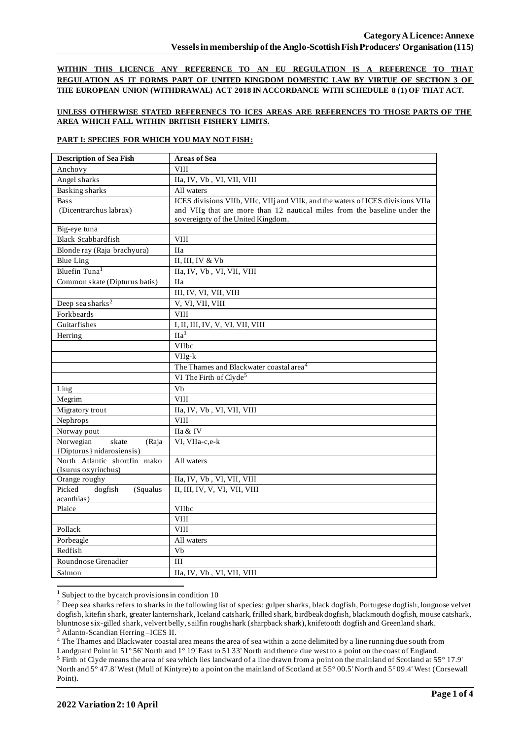**WITHIN THIS LICENCE ANY REFERENCE TO AN EU REGULATION IS A REFERENCE TO THAT REGULATION AS IT FORMS PART OF UNITED KINGDOM DOMESTIC LAW BY VIRTUE OF SECTION 3 OF THE EUROPEAN UNION (WITHDRAWAL) ACT 2018 IN ACCORDANCE WITH SCHEDULE 8 (1) OF THAT ACT.**

### **UNLESS OTHERWISE STATED REFERENECS TO ICES AREAS ARE REFERENCES TO THOSE PARTS OF THE AREA WHICH FALL WITHIN BRITISH FISHERY LIMITS.**

### **PART I: SPECIES FOR WHICH YOU MAY NOT FISH:**

| <b>Description of Sea Fish</b>                           | <b>Areas of Sea</b>                                                             |  |  |
|----------------------------------------------------------|---------------------------------------------------------------------------------|--|--|
| Anchovy                                                  | <b>VIII</b>                                                                     |  |  |
| Angel sharks                                             | IIa, IV, Vb, VI, VII, VIII                                                      |  |  |
| <b>Basking sharks</b>                                    | All waters                                                                      |  |  |
| <b>Bass</b>                                              | ICES divisions VIIb, VIIc, VIIj and VIIk, and the waters of ICES divisions VIIa |  |  |
| (Dicentrarchus labrax)                                   | and VIIg that are more than 12 nautical miles from the baseline under the       |  |  |
|                                                          | sovereignty of the United Kingdom.                                              |  |  |
| Big-eye tuna                                             |                                                                                 |  |  |
| <b>Black Scabbardfish</b>                                | <b>VIII</b>                                                                     |  |  |
| Blonde ray (Raja brachyura)                              | <b>IIa</b>                                                                      |  |  |
| <b>Blue Ling</b>                                         | II, III, IV & Vb                                                                |  |  |
| Bluefin Tuna <sup>1</sup>                                | IIa, IV, Vb, VI, VII, VIII                                                      |  |  |
| Common skate (Dipturus batis)                            | <b>IIa</b>                                                                      |  |  |
|                                                          | III, IV, VI, VII, VIII                                                          |  |  |
| Deep sea sharks <sup>2</sup>                             | V, VI, VII, VIII                                                                |  |  |
| Forkbeards                                               | <b>VIII</b>                                                                     |  |  |
| Guitarfishes                                             | I, II, III, IV, V, VI, VII, VIII                                                |  |  |
| Herring                                                  | $\Pi a^3$                                                                       |  |  |
|                                                          | <b>VIIbc</b>                                                                    |  |  |
|                                                          | VIIg-k                                                                          |  |  |
|                                                          | The Thames and Blackwater coastal area <sup>4</sup>                             |  |  |
|                                                          | VI The Firth of Clyde <sup>5</sup>                                              |  |  |
| Ling                                                     | Vb                                                                              |  |  |
| Megrim                                                   | <b>VIII</b>                                                                     |  |  |
| Migratory trout                                          | IIa, IV, Vb, VI, VII, VIII                                                      |  |  |
| Nephrops                                                 | <b>VIII</b>                                                                     |  |  |
| Norway pout                                              | IIa & IV                                                                        |  |  |
| Norwegian<br>skate<br>(Raja<br>{Dipturus} nidarosiensis) | VI, VIIa-c,e-k                                                                  |  |  |
| North Atlantic shortfin mako                             | All waters                                                                      |  |  |
| (Isurus oxyrinchus)                                      |                                                                                 |  |  |
| Orange roughy                                            | IIa, IV, Vb, VI, VII, VIII                                                      |  |  |
| Picked<br>dogfish<br>(Squalus                            | II, III, IV, V, VI, VII, VIII                                                   |  |  |
| acanthias)                                               |                                                                                 |  |  |
| Plaice                                                   | VIIbc                                                                           |  |  |
|                                                          | <b>VIII</b>                                                                     |  |  |
| Pollack                                                  | <b>VIII</b>                                                                     |  |  |
| Porbeagle                                                | All waters                                                                      |  |  |
| Redfish                                                  | Vb                                                                              |  |  |
| Roundnose Grenadier                                      | III                                                                             |  |  |
| Salmon                                                   | IIa, IV, Vb, VI, VII, VIII                                                      |  |  |

 $1$  Subject to the bycatch provisions in condition 10

<sup>4</sup> The Thames and Blackwater coastal area means the area of sea within a zone delimited by a line running due south from

<sup>&</sup>lt;sup>2</sup> Deep sea sharks refers to sharks in the following list of species: gulper sharks, black dogfish, Portugese dogfish, longnose velvet dogfish, kitefin shark, greater lanternshark, Iceland catshark, frilled shark, birdbeak dogfish, blackmouth dogfish, mouse catshark, bluntnose six-gilled shark, velvert belly, sailfin roughshark (sharpback shark), knifetooth dogfish and Greenland shark. <sup>3</sup> Atlanto-Scandian Herring –ICES II.

Landguard Point in 51° 56' North and 1° 19' East to 51 33' North and thence due west to a point on the coast of England. <sup>5</sup> Firth of Clyde means the area of sea which lies landward of a line drawn from a point on the mainland of Scotland at 55° 17.9' North and 5° 47.8' West (Mull of Kintyre) to a point on the mainland of Scotland at 55° 00.5' North and 5° 09.4' West (Corsewall Point).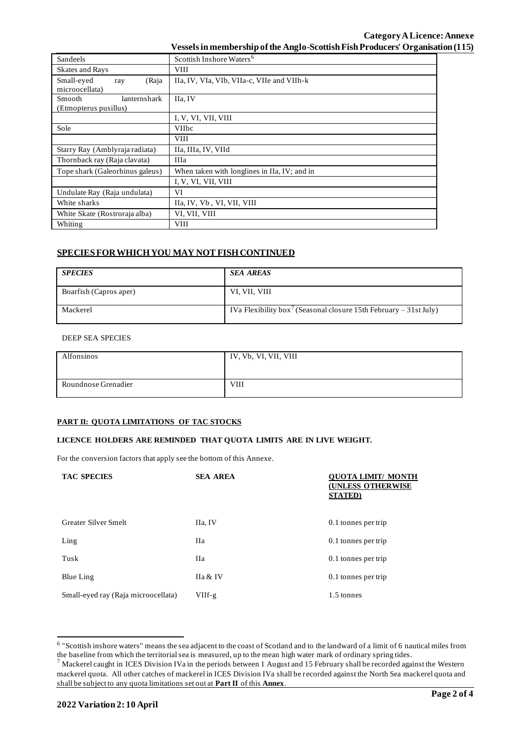# **Category ALicence: Annexe Vessels in membership of the Anglo-Scottish Fish Producers' Organisation (115)**

| Sandeels                        | Scottish Inshore Waters <sup>6</sup>         |  |  |  |
|---------------------------------|----------------------------------------------|--|--|--|
| <b>Skates and Rays</b>          | <b>VIII</b>                                  |  |  |  |
| Small-eyed<br>(Raja<br>ray      | IIa, IV, VIa, VIb, VIIa-c, VIIe and VIIh-k   |  |  |  |
| microocellata)                  |                                              |  |  |  |
| Smooth<br>lanternshark          | IIa, IV                                      |  |  |  |
| (Etmopterus pusillus)           |                                              |  |  |  |
|                                 | I, V, VI, VII, VIII                          |  |  |  |
| Sole                            | <b>VIIbc</b>                                 |  |  |  |
|                                 | <b>VIII</b>                                  |  |  |  |
| Starry Ray (Amblyraja radiata)  | IIa, IIIa, IV, VIId                          |  |  |  |
| Thornback ray (Raja clavata)    | IIIa                                         |  |  |  |
| Tope shark (Galeorhinus galeus) | When taken with longlines in IIa, IV; and in |  |  |  |
|                                 | I, V, VI, VII, VIII                          |  |  |  |
| Undulate Ray (Raja undulata)    | VI                                           |  |  |  |
| White sharks                    | IIa, IV, Vb, VI, VII, VIII                   |  |  |  |
| White Skate (Rostroraja alba)   | VI, VII, VIII                                |  |  |  |
| Whiting                         | <b>VIII</b>                                  |  |  |  |

# **SPECIES FOR WHICH YOU MAY NOT FISH CONTINUED**

| <b>SPECIES</b>         | <b>SEA AREAS</b>                                                              |
|------------------------|-------------------------------------------------------------------------------|
| Boarfish (Capros aper) | VI, VII, VIII                                                                 |
| Mackerel               | IVa Flexibility box <sup>7</sup> (Seasonal closure 15th February – 31st July) |

#### DEEP SEA SPECIES

| Alfonsinos          | IV, Vb, VI, VII, VIII |
|---------------------|-----------------------|
| Roundnose Grenadier | <b>VIII</b>           |

### **PART II: QUOTA LIMITATIONS OF TAC STOCKS**

#### **LICENCE HOLDERS ARE REMINDED THAT QUOTA LIMITS ARE IN LIVE WEIGHT.**

For the conversion factors that apply see the bottom of this Annexe.

| <b>TAC SPECIES</b>                  | <b>SEA AREA</b> | OTA LIMIT/ MONTH<br><b>(UNLESS OTHERWISE</b><br><b>STATED</b> ) |  |
|-------------------------------------|-----------------|-----------------------------------------------------------------|--|
| Greater Silver Smelt                | IIa, IV         | 0.1 tonnes per trip                                             |  |
| Ling                                | <b>IIa</b>      | 0.1 tonnes per trip                                             |  |
| Tusk                                | <b>IIa</b>      | 0.1 tonnes per trip                                             |  |
| Blue Ling                           | IIa & IV        | 0.1 tonnes per trip                                             |  |
| Small-eyed ray (Raja microocellata) | $VIIf-g$        | 1.5 tonnes                                                      |  |

<sup>&</sup>lt;sup>6</sup> "Scottish inshore waters" means the sea adjacent to the coast of Scotland and to the landward of a limit of 6 nautical miles from the baseline from which the territorial sea is measured, up to the mean high water mark of ordinary spring tides.

 $^7$  Mackerel caught in ICES Division IVa in the periods between 1 August and 15 February shall be recorded against the Western mackerel quota. All other catches of mackerel in ICES Division IVa shall be recorded against the North Sea mackerel quota and shall be subject to any quota limitations set out at **Part II** of this **Annex**.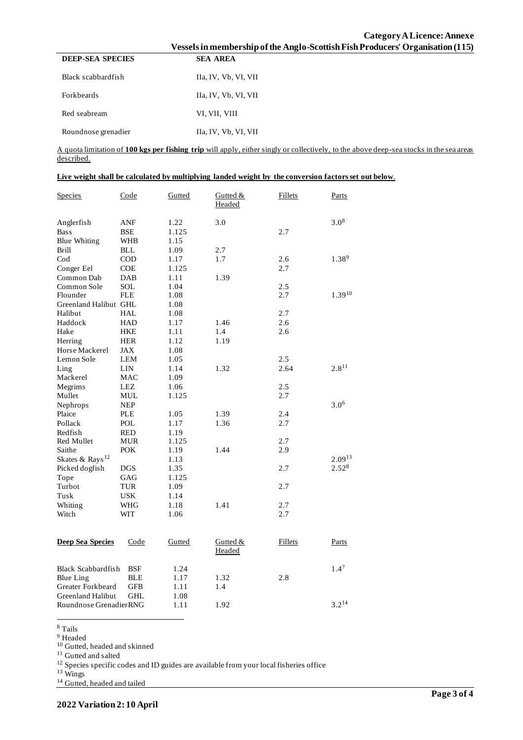|                                                                                | Category A Licence: Annexe |
|--------------------------------------------------------------------------------|----------------------------|
| Vessels in membership of the Anglo-Scottish Fish Producers' Organisation (115) |                            |
| <b>SEA AREA</b>                                                                |                            |
|                                                                                |                            |

| Black scabbardfish  | Ha, IV, Vb, VI, VII  |
|---------------------|----------------------|
| <b>Forkheards</b>   | IIa, IV, Vb, VI, VII |
| Red seabream        | VI, VII, VIII        |
| Roundnose grenadier | IIa, IV, Vb, VI, VII |

**DEEP-SEA SPECIES** 

A quota limitation of **100 kgs per fishing trip** will apply, either singly or collectively, to the above deep-sea stocks in the sea areas described.

|  |  | Live weight shall be calculated by multiplying landed weight by the conversion factors set out below. |
|--|--|-------------------------------------------------------------------------------------------------------|
|  |  |                                                                                                       |

| Species                     | Code       | Gutted | Gutted &<br>Headed | Fillets | Parts            |
|-----------------------------|------------|--------|--------------------|---------|------------------|
| Anglerfish                  | ANF        | 1.22   | 3.0                |         | $3.0^{8}$        |
| <b>Bass</b>                 | <b>BSE</b> | 1.125  |                    | 2.7     |                  |
| <b>Blue Whiting</b>         | WHB        | 1.15   |                    |         |                  |
| <b>Brill</b>                | <b>BLL</b> | 1.09   | 2.7                |         |                  |
| $\mathrm{Cod}$              | <b>COD</b> | 1.17   | 1.7                | 2.6     | $1.38^{9}$       |
| Conger Eel                  | <b>COE</b> | 1.125  |                    | 2.7     |                  |
| Common Dab                  | DAB        | 1.11   | 1.39               |         |                  |
| Common Sole                 | SOL        | 1.04   |                    | 2.5     |                  |
| Flounder                    | <b>FLE</b> | 1.08   |                    | 2.7     | $1.39^{10}$      |
| Greenland Halibut GHL       |            | 1.08   |                    |         |                  |
| Halibut                     | <b>HAL</b> | 1.08   |                    | 2.7     |                  |
| Haddock                     | <b>HAD</b> | 1.17   | 1.46               | 2.6     |                  |
| Hake                        | HKE        | 1.11   | 1.4                | 2.6     |                  |
| Herring                     | HER        | 1.12   | 1.19               |         |                  |
| Horse Mackerel              | JAX        | 1.08   |                    |         |                  |
| Lemon Sole                  | LEM        | 1.05   |                    | 2.5     |                  |
| Ling                        | LIN        | 1.14   | 1.32               | 2.64    | $2.8^{11}$       |
| Mackerel                    | MAC        | 1.09   |                    |         |                  |
| Megrims                     | LEZ        | 1.06   |                    | 2.5     |                  |
| Mullet                      | MUL        | 1.125  |                    | 2.7     |                  |
| Nephrops                    | <b>NEP</b> |        |                    |         | $3.0^{6}$        |
| Plaice                      | <b>PLE</b> | 1.05   | 1.39               | 2.4     |                  |
| Pollack                     | POL        | 1.17   | 1.36               | 2.7     |                  |
| Redfish                     | <b>RED</b> | 1.19   |                    |         |                  |
| <b>Red Mullet</b>           | <b>MUR</b> | 1.125  |                    | 2.7     |                  |
| Saithe                      | <b>POK</b> | 1.19   | 1.44               | 2.9     |                  |
| Skates & Rays <sup>12</sup> |            | 1.13   |                    |         | $2.09^{13}$      |
| Picked dogfish              | DGS        | 1.35   |                    | 2.7     | $2.52^{8}$       |
| Tope                        | GAG        | 1.125  |                    |         |                  |
| Turbot                      | <b>TUR</b> | 1.09   |                    | 2.7     |                  |
| Tusk                        | <b>USK</b> | 1.14   |                    |         |                  |
| Whiting                     | WHG        | 1.18   | 1.41               | 2.7     |                  |
| Witch                       | WIT        | 1.06   |                    | 2.7     |                  |
|                             |            |        |                    |         |                  |
| <b>Deep Sea Species</b>     | Code       | Gutted | Gutted &           | Fillets | Parts            |
|                             |            |        | <b>Headed</b>      |         |                  |
| <b>Black Scabbardfish</b>   | <b>BSF</b> | 1.24   |                    |         | 1.4 <sup>7</sup> |
| <b>Blue Ling</b>            | BLE        | 1.17   | 1.32               | 2.8     |                  |
| Greater Forkbeard           | GFB        | 1.11   | 1.4                |         |                  |
| <b>Greenland Halibut</b>    | GHL        | 1.08   |                    |         |                  |
| Roundnose GrenadierRNG      |            | 1.11   | 1.92               |         | $3.2^{14}$       |
|                             |            |        |                    |         |                  |

<sup>8</sup> Tails

<sup>9</sup> Headed

<sup>10</sup> Gutted, headed and skinned

<sup>11</sup> Gutted and salted

 $12$  Species specific codes and ID guides are available from your local fisheries office

<sup>13</sup> Wings

<sup>14</sup> Gutted, headed and tailed